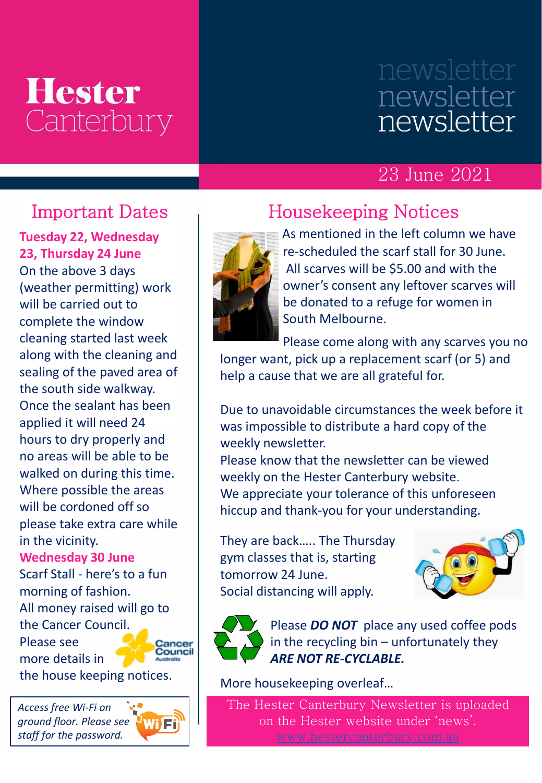## **Hester** Canterbury

# newsletter newsletter

### 23 June 2021

**Tuesday 22, Wednesday 23, Thursday 24 June** On the above 3 days (weather permitting) work will be carried out to complete the window cleaning started last week along with the cleaning and sealing of the paved area of the south side walkway. Once the sealant has been applied it will need 24 hours to dry properly and no areas will be able to be walked on during this time. Where possible the areas will be cordoned off so please take extra care while in the vicinity.

**Wednesday 30 June**  Scarf Stall - here's to a fun morning of fashion. All money raised will go to the Cancer Council. Please see Cancer<br>Council more details in

the house keeping notices.

*Access free Wi-Fi on ground floor. Please see staff for the password.*



### Important Dates Housekeeping Notices



As mentioned in the left column we have re-scheduled the scarf stall for 30 June. All scarves will be \$5.00 and with the owner's consent any leftover scarves will be donated to a refuge for women in South Melbourne.

Please come along with any scarves you no

longer want, pick up a replacement scarf (or 5) and help a cause that we are all grateful for.

Due to unavoidable circumstances the week before it was impossible to distribute a hard copy of the weekly newsletter.

Please know that the newsletter can be viewed weekly on the Hester Canterbury website. We appreciate your tolerance of this unforeseen hiccup and thank-you for your understanding.

They are back….. The Thursday gym classes that is, starting tomorrow 24 June. Social distancing will apply.





Please *DO NOT* place any used coffee pods in the recycling bin – unfortunately they *ARE NOT RE-CYCLABLE.*

More housekeeping overleaf…

The Hester Canterbury Newsletter is uploaded on the Hester website under 'news'.